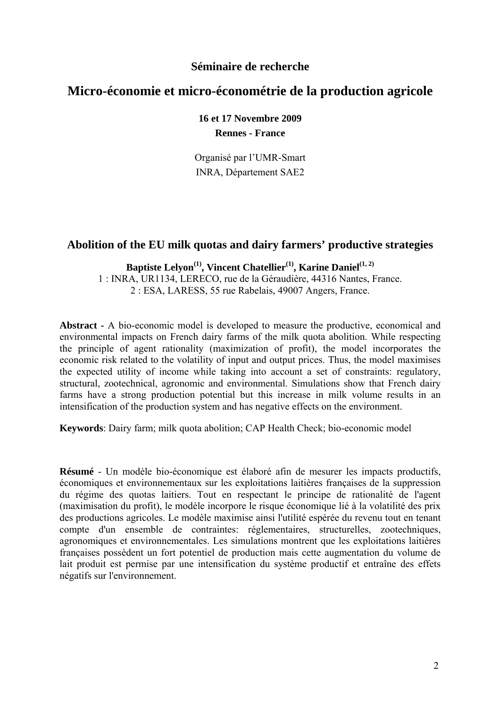## **Séminaire de recherche**

# **Micro-économie et micro-économétrie de la production agricole**

**16 et 17 Novembre 2009 Rennes - France** 

Organisé par l'UMR-Smart INRA, Département SAE2

### **Abolition of the EU milk quotas and dairy farmers' productive strategies**

### Baptiste Lelyon<sup>(1)</sup>, Vincent Chatellier<sup>(1)</sup>, Karine Daniel<sup>(1, 2)</sup>

1 : INRA, UR1134, LERECO, rue de la Géraudière, 44316 Nantes, France. 2 : ESA, LARESS, 55 rue Rabelais, 49007 Angers, France.

**Abstract -** A bio-economic model is developed to measure the productive, economical and environmental impacts on French dairy farms of the milk quota abolition. While respecting the principle of agent rationality (maximization of profit), the model incorporates the economic risk related to the volatility of input and output prices. Thus, the model maximises the expected utility of income while taking into account a set of constraints: regulatory, structural, zootechnical, agronomic and environmental. Simulations show that French dairy farms have a strong production potential but this increase in milk volume results in an intensification of the production system and has negative effects on the environment.

**Keywords**: Dairy farm; milk quota abolition; CAP Health Check; bio-economic model

**Résumé** - Un modèle bio-économique est élaboré afin de mesurer les impacts productifs, économiques et environnementaux sur les exploitations laitières françaises de la suppression du régime des quotas laitiers. Tout en respectant le principe de rationalité de l'agent (maximisation du profit), le modèle incorpore le risque économique lié à la volatilité des prix des productions agricoles. Le modèle maximise ainsi l'utilité espérée du revenu tout en tenant compte d'un ensemble de contraintes: réglementaires, structurelles, zootechniques, agronomiques et environnementales. Les simulations montrent que les exploitations laitières françaises possèdent un fort potentiel de production mais cette augmentation du volume de lait produit est permise par une intensification du système productif et entraîne des effets négatifs sur l'environnement.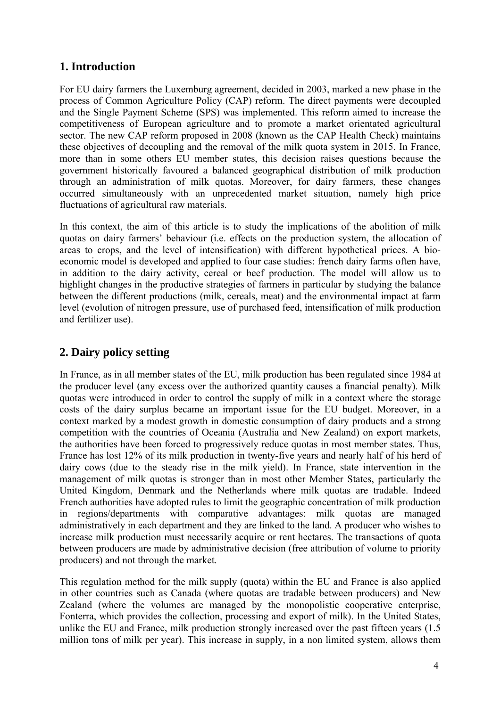# **1. Introduction**

For EU dairy farmers the Luxemburg agreement, decided in 2003, marked a new phase in the process of Common Agriculture Policy (CAP) reform. The direct payments were decoupled and the Single Payment Scheme (SPS) was implemented. This reform aimed to increase the competitiveness of European agriculture and to promote a market orientated agricultural sector. The new CAP reform proposed in 2008 (known as the CAP Health Check) maintains these objectives of decoupling and the removal of the milk quota system in 2015. In France, more than in some others EU member states, this decision raises questions because the government historically favoured a balanced geographical distribution of milk production through an administration of milk quotas. Moreover, for dairy farmers, these changes occurred simultaneously with an unprecedented market situation, namely high price fluctuations of agricultural raw materials.

In this context, the aim of this article is to study the implications of the abolition of milk quotas on dairy farmers' behaviour (i.e. effects on the production system, the allocation of areas to crops, and the level of intensification) with different hypothetical prices. A bioeconomic model is developed and applied to four case studies: french dairy farms often have, in addition to the dairy activity, cereal or beef production. The model will allow us to highlight changes in the productive strategies of farmers in particular by studying the balance between the different productions (milk, cereals, meat) and the environmental impact at farm level (evolution of nitrogen pressure, use of purchased feed, intensification of milk production and fertilizer use).

# **2. Dairy policy setting**

In France, as in all member states of the EU, milk production has been regulated since 1984 at the producer level (any excess over the authorized quantity causes a financial penalty). Milk quotas were introduced in order to control the supply of milk in a context where the storage costs of the dairy surplus became an important issue for the EU budget. Moreover, in a context marked by a modest growth in domestic consumption of dairy products and a strong competition with the countries of Oceania (Australia and New Zealand) on export markets, the authorities have been forced to progressively reduce quotas in most member states. Thus, France has lost 12% of its milk production in twenty-five years and nearly half of his herd of dairy cows (due to the steady rise in the milk yield). In France, state intervention in the management of milk quotas is stronger than in most other Member States, particularly the United Kingdom, Denmark and the Netherlands where milk quotas are tradable. Indeed French authorities have adopted rules to limit the geographic concentration of milk production in regions/departments with comparative advantages: milk quotas are managed administratively in each department and they are linked to the land. A producer who wishes to increase milk production must necessarily acquire or rent hectares. The transactions of quota between producers are made by administrative decision (free attribution of volume to priority producers) and not through the market.

This regulation method for the milk supply (quota) within the EU and France is also applied in other countries such as Canada (where quotas are tradable between producers) and New Zealand (where the volumes are managed by the monopolistic cooperative enterprise, Fonterra, which provides the collection, processing and export of milk). In the United States, unlike the EU and France, milk production strongly increased over the past fifteen years (1.5 million tons of milk per year). This increase in supply, in a non limited system, allows them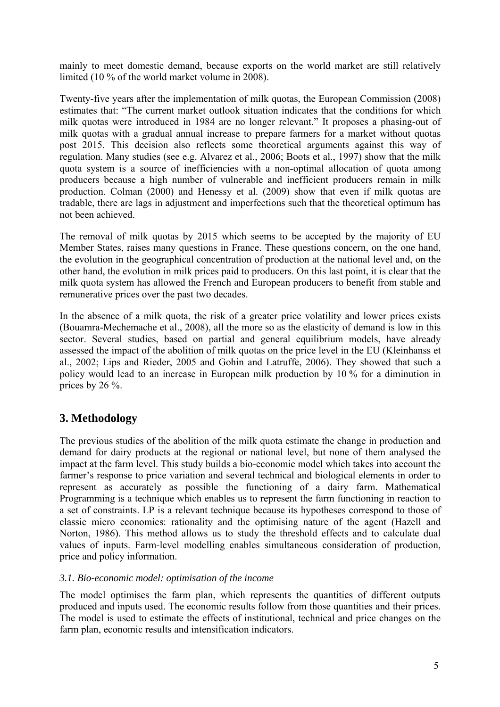mainly to meet domestic demand, because exports on the world market are still relatively limited (10 % of the world market volume in 2008).

Twenty-five years after the implementation of milk quotas, the European Commission (2008) estimates that: "The current market outlook situation indicates that the conditions for which milk quotas were introduced in 1984 are no longer relevant." It proposes a phasing-out of milk quotas with a gradual annual increase to prepare farmers for a market without quotas post 2015. This decision also reflects some theoretical arguments against this way of regulation. Many studies (see e.g. Alvarez et al., 2006; Boots et al., 1997) show that the milk quota system is a source of inefficiencies with a non-optimal allocation of quota among producers because a high number of vulnerable and inefficient producers remain in milk production. Colman (2000) and Henessy et al. (2009) show that even if milk quotas are tradable, there are lags in adjustment and imperfections such that the theoretical optimum has not been achieved.

The removal of milk quotas by 2015 which seems to be accepted by the majority of EU Member States, raises many questions in France. These questions concern, on the one hand, the evolution in the geographical concentration of production at the national level and, on the other hand, the evolution in milk prices paid to producers. On this last point, it is clear that the milk quota system has allowed the French and European producers to benefit from stable and remunerative prices over the past two decades.

In the absence of a milk quota, the risk of a greater price volatility and lower prices exists (Bouamra-Mechemache et al., 2008), all the more so as the elasticity of demand is low in this sector. Several studies, based on partial and general equilibrium models, have already assessed the impact of the abolition of milk quotas on the price level in the EU (Kleinhanss et al., 2002; Lips and Rieder, 2005 and Gohin and Latruffe, 2006). They showed that such a policy would lead to an increase in European milk production by 10 % for a diminution in prices by 26 %.

# **3. Methodology**

The previous studies of the abolition of the milk quota estimate the change in production and demand for dairy products at the regional or national level, but none of them analysed the impact at the farm level. This study builds a bio-economic model which takes into account the farmer's response to price variation and several technical and biological elements in order to represent as accurately as possible the functioning of a dairy farm. Mathematical Programming is a technique which enables us to represent the farm functioning in reaction to a set of constraints. LP is a relevant technique because its hypotheses correspond to those of classic micro economics: rationality and the optimising nature of the agent (Hazell and Norton, 1986). This method allows us to study the threshold effects and to calculate dual values of inputs. Farm-level modelling enables simultaneous consideration of production, price and policy information.

### *3.1. Bio-economic model: optimisation of the income*

The model optimises the farm plan, which represents the quantities of different outputs produced and inputs used. The economic results follow from those quantities and their prices. The model is used to estimate the effects of institutional, technical and price changes on the farm plan, economic results and intensification indicators.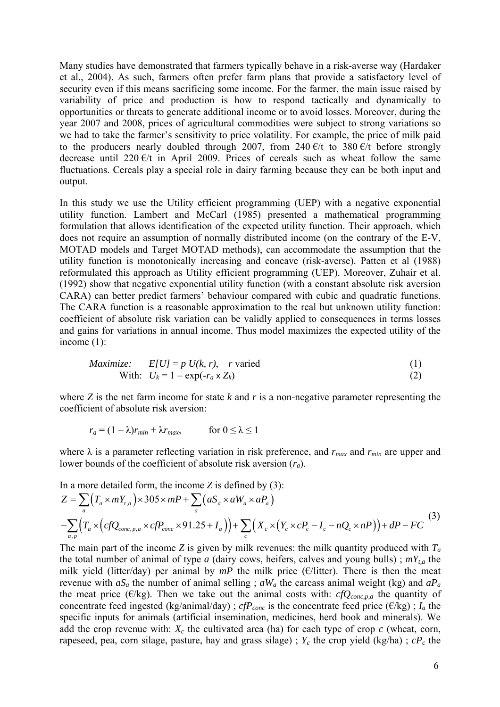Many studies have demonstrated that farmers typically behave in a risk-averse way (Hardaker et al., 2004). As such, farmers often prefer farm plans that provide a satisfactory level of security even if this means sacrificing some income. For the farmer, the main issue raised by variability of price and production is how to respond tactically and dynamically to opportunities or threats to generate additional income or to avoid losses. Moreover, during the year 2007 and 2008, prices of agricultural commodities were subject to strong variations so we had to take the farmer's sensitivity to price volatility. For example, the price of milk paid to the producers nearly doubled through 2007, from 240  $\epsilon$ /t to 380  $\epsilon$ /t before strongly decrease until 220  $\epsilon/t$  in April 2009. Prices of cereals such as wheat follow the same fluctuations. Cereals play a special role in dairy farming because they can be both input and output.

In this study we use the Utility efficient programming (UEP) with a negative exponential utility function. Lambert and McCarl (1985) presented a mathematical programming formulation that allows identification of the expected utility function. Their approach, which does not require an assumption of normally distributed income (on the contrary of the E-V, MOTAD models and Target MOTAD methods), can accommodate the assumption that the utility function is monotonically increasing and concave (risk-averse). Patten et al (1988) reformulated this approach as Utility efficient programming (UEP). Moreover, Zuhair et al. (1992) show that negative exponential utility function (with a constant absolute risk aversion CARA) can better predict farmers' behaviour compared with cubic and quadratic functions. The CARA function is a reasonable approximation to the real but unknown utility function: coefficient of absolute risk variation can be validly applied to consequences in terms losses and gains for variations in annual income. Thus model maximizes the expected utility of the income (1):

$$
Maximize: \tE[U] = p \tU(k, r), \t\text{ varied} \t(1)
$$
  
With:  $U_k = 1 - \exp(-r_a \times Z_k)$  \t(2)

where  $Z$  is the net farm income for state  $k$  and  $r$  is a non-negative parameter representing the coefficient of absolute risk aversion:

$$
r_a = (1 - \lambda)r_{min} + \lambda r_{max}, \qquad \text{for } 0 \le \lambda \le 1
$$

where  $\lambda$  is a parameter reflecting variation in risk preference, and  $r_{max}$  and  $r_{min}$  are upper and lower bounds of the coefficient of absolute risk aversion (*ra*).

In a more detailed form, the income *Z* is defined by (3):

$$
Z = \sum_{a} \left( T_a \times mY_{t,a} \right) \times 305 \times mP + \sum_{a} \left( aS_a \times aW_a \times aP_a \right)
$$
  
-
$$
\sum_{a,p} \left( T_a \times \left( cfQ_{conc,p,a} \times cfP_{conc} \times 91.25 + I_a \right) \right) + \sum_{c} \left( X_c \times \left( Y_c \times cP_c - I_c - nQ_c \times nP \right) \right) + dP - FC
$$
<sup>(3)</sup>

The main part of the income *Z* is given by milk revenues: the milk quantity produced with  $T_a$ the total number of animal of type *a* (dairy cows, heifers, calves and young bulls);  $mY_{ta}$  the milk yield (litter/day) per animal by  $mP$  the milk price ( $\epsilon$ /litter). There is then the meat revenue with  $aS_a$  the number of animal selling;  $aW_a$  the carcass animal weight (kg) and  $aP_a$ the meat price ( $\epsilon$ /kg). Then we take out the animal costs with: *cfQ<sub>conc,p,a*</sub> the quantity of concentrate feed ingested (kg/animal/day) ;  $cfP_{conc}$  is the concentrate feed price ( $\epsilon$ /kg) ;  $I_a$  the specific inputs for animals (artificial insemination, medicines, herd book and minerals). We add the crop revenue with:  $X_c$  the cultivated area (ha) for each type of crop  $c$  (wheat, corn, rapeseed, pea, corn silage, pasture, hay and grass silage) ;  $Y_c$  the crop yield (kg/ha) ;  $cP_c$  the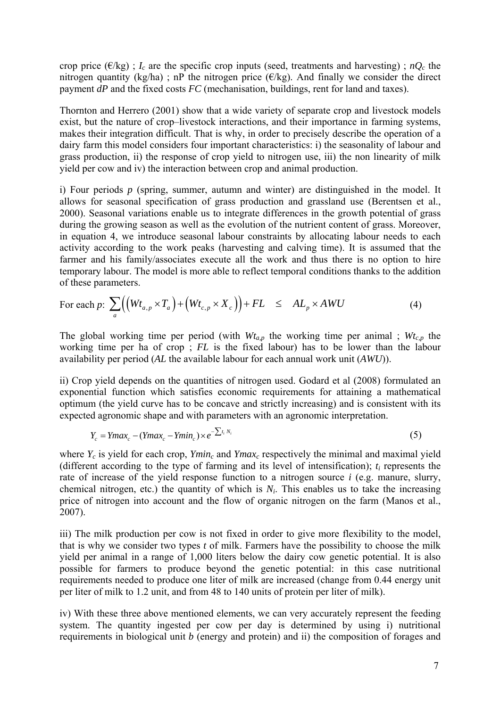crop price ( $\epsilon$ /kg) ;  $I_c$  are the specific crop inputs (seed, treatments and harvesting) ; *nO<sub>c</sub>* the nitrogen quantity (kg/ha); nP the nitrogen price ( $\epsilon$ /kg). And finally we consider the direct payment *dP* and the fixed costs *FC* (mechanisation, buildings, rent for land and taxes).

Thornton and Herrero (2001) show that a wide variety of separate crop and livestock models exist, but the nature of crop–livestock interactions, and their importance in farming systems, makes their integration difficult. That is why, in order to precisely describe the operation of a dairy farm this model considers four important characteristics: i) the seasonality of labour and grass production, ii) the response of crop yield to nitrogen use, iii) the non linearity of milk yield per cow and iv) the interaction between crop and animal production.

i) Four periods *p* (spring, summer, autumn and winter) are distinguished in the model. It allows for seasonal specification of grass production and grassland use (Berentsen et al., 2000). Seasonal variations enable us to integrate differences in the growth potential of grass during the growing season as well as the evolution of the nutrient content of grass. Moreover, in equation 4, we introduce seasonal labour constraints by allocating labour needs to each activity according to the work peaks (harvesting and calving time). It is assumed that the farmer and his family/associates execute all the work and thus there is no option to hire temporary labour. The model is more able to reflect temporal conditions thanks to the addition of these parameters.

For each 
$$
p: \sum_{a} ((Wt_{a,p} \times T_a) + (Wt_{c,p} \times X_c)) + FL \le AL_p \times AWU
$$
 (4)

The global working time per period (with  $W_{tap}$  the working time per animal ;  $W_{tap}$  the working time per ha of crop ; *FL* is the fixed labour) has to be lower than the labour availability per period (*AL* the available labour for each annual work unit (*AWU*)).

ii) Crop yield depends on the quantities of nitrogen used. Godard et al (2008) formulated an exponential function which satisfies economic requirements for attaining a mathematical optimum (the yield curve has to be concave and strictly increasing) and is consistent with its expected agronomic shape and with parameters with an agronomic interpretation.

$$
Y_c = Ymax_c - (Ymax_c - Ymin_c) \times e^{-\sum t_i N_i}
$$
\n
$$
(5)
$$

where  $Y_c$  is yield for each crop,  $Ymin_c$  and  $Ymax_c$  respectively the minimal and maximal yield (different according to the type of farming and its level of intensification); *ti* represents the rate of increase of the yield response function to a nitrogen source *i* (e.g. manure, slurry, chemical nitrogen, etc.) the quantity of which is  $N_i$ . This enables us to take the increasing price of nitrogen into account and the flow of organic nitrogen on the farm (Manos et al., 2007).

iii) The milk production per cow is not fixed in order to give more flexibility to the model, that is why we consider two types *t* of milk. Farmers have the possibility to choose the milk yield per animal in a range of 1,000 liters below the dairy cow genetic potential. It is also possible for farmers to produce beyond the genetic potential: in this case nutritional requirements needed to produce one liter of milk are increased (change from 0.44 energy unit per liter of milk to 1.2 unit, and from 48 to 140 units of protein per liter of milk).

iv) With these three above mentioned elements, we can very accurately represent the feeding system. The quantity ingested per cow per day is determined by using i) nutritional requirements in biological unit *b* (energy and protein) and ii) the composition of forages and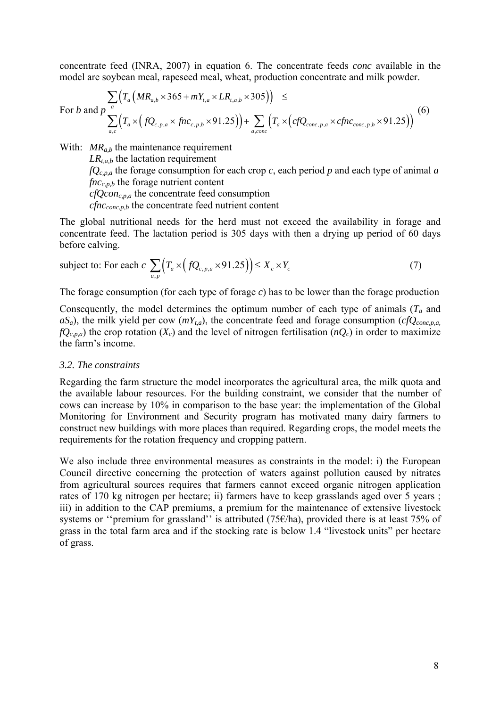concentrate feed (INRA, 2007) in equation 6. The concentrate feeds *conc* available in the model are soybean meal, rapeseed meal, wheat, production concentrate and milk powder.

$$
\sum_{a,c} \left( T_a \left( MR_{a,b} \times 365 + mY_{t,a} \times LR_{t,a,b} \times 305 \right) \right) \le
$$
  
For *b* and  $p \sum_{a,c} \left( T_a \times \left( fQ_{c,p,a} \times \text{frac} \times 91.25 \right) \right) + \sum_{a,\text{conc}} \left( T_a \times \left( \text{cf}Q_{\text{conc},p,a} \times \text{cf}nc_{\text{conc},p,b} \times 91.25 \right) \right)$  (6)

With: *MR<sub>a,b</sub>* the maintenance requirement

 $LR_{t,a,b}$  the lactation requirement

 $fQ_{c,p,q}$  the forage consumption for each crop *c*, each period *p* and each type of animal *a*  $fnc_{c,p}$  the forage nutrient content

*cfQconc,p,a* the concentrate feed consumption

*cfncconc,p,b* the concentrate feed nutrient content

The global nutritional needs for the herd must not exceed the availability in forage and concentrate feed. The lactation period is 305 days with then a drying up period of 60 days before calving.

subject to: For each 
$$
c \sum_{a,p} (T_a \times (fQ_{c,p,a} \times 91.25)) \le X_c \times Y_c
$$
 (7)

The forage consumption (for each type of forage *c*) has to be lower than the forage production

Consequently, the model determines the optimum number of each type of animals  $(T_a)$  and  $aS_a$ ), the milk yield per cow  $(mY_{ta})$ , the concentrate feed and forage consumption (*cfQ<sub>conc,p,a*,</sub>  $fQ_{c,p,q}$ ) the crop rotation  $(X_c)$  and the level of nitrogen fertilisation  $(nQ_c)$  in order to maximize the farm's income.

#### *3.2. The constraints*

Regarding the farm structure the model incorporates the agricultural area, the milk quota and the available labour resources. For the building constraint, we consider that the number of cows can increase by 10% in comparison to the base year: the implementation of the Global Monitoring for Environment and Security program has motivated many dairy farmers to construct new buildings with more places than required. Regarding crops, the model meets the requirements for the rotation frequency and cropping pattern.

We also include three environmental measures as constraints in the model: i) the European Council directive concerning the protection of waters against pollution caused by nitrates from agricultural sources requires that farmers cannot exceed organic nitrogen application rates of 170 kg nitrogen per hectare; ii) farmers have to keep grasslands aged over 5 years ; iii) in addition to the CAP premiums, a premium for the maintenance of extensive livestock systems or "premium for grassland" is attributed (75 $\varepsilon$ /ha), provided there is at least 75% of grass in the total farm area and if the stocking rate is below 1.4 "livestock units" per hectare of grass.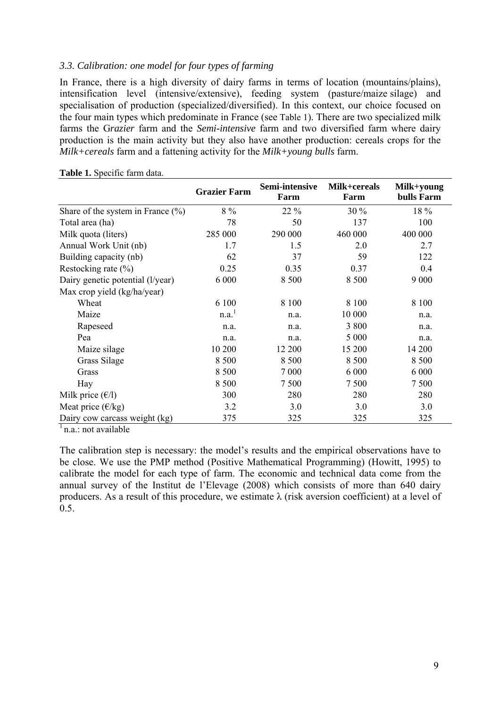#### *3.3. Calibration: one model for four types of farming*

In France, there is a high diversity of dairy farms in terms of location (mountains/plains), intensification level (intensive/extensive), feeding system (pasture/maize silage) and specialisation of production (specialized/diversified). In this context, our choice focused on the four main types which predominate in France (see [Table 1](#page-7-0)). There are two specialized milk farms the G*razier* farm and the *Semi-intensive* farm and two diversified farm where dairy production is the main activity but they also have another production: cereals crops for the *Milk+cereals* farm and a fattening activity for the *Milk+young bulls* farm.

|                                       | <b>Grazier Farm</b> | Semi-intensive<br>Farm | Milk+cereals<br>Farm | Milk+young<br>bulls Farm |  |
|---------------------------------------|---------------------|------------------------|----------------------|--------------------------|--|
| Share of the system in France $(\% )$ | $8\%$               | 22 %                   | $30\%$               | 18 %                     |  |
| Total area (ha)                       | 78                  | 50                     | 137                  | 100                      |  |
| Milk quota (liters)                   | 285 000             | 290 000                | 460 000              | 400 000                  |  |
| Annual Work Unit (nb)                 | 1.7                 | 1.5                    | 2.0                  | 2.7                      |  |
| Building capacity (nb)                | 62                  | 37                     | 59                   | 122                      |  |
| Restocking rate $(\% )$               | 0.25                | 0.35                   | 0.37                 | 0.4                      |  |
| Dairy genetic potential (l/year)      | 6 0 0 0             | 8 5 0 0                | 8 5 0 0              | 9 0 0 0                  |  |
| Max crop yield (kg/ha/year)           |                     |                        |                      |                          |  |
| Wheat                                 | 6 100               | 8 1 0 0                | 8 1 0 0              | 8 1 0 0                  |  |
| Maize                                 | n.a. <sup>1</sup>   | n.a.                   | 10 000               | n.a.                     |  |
| Rapeseed                              | n.a.                | n.a.                   | 3 800                | n.a.                     |  |
| Pea                                   | n.a.                | n.a.                   | 5 0 0 0              | n.a.                     |  |
| Maize silage                          | 10 200              | 12 200                 | 15 200               | 14 200                   |  |
| Grass Silage                          | 8 5 0 0             | 8 5 0 0                | 8 5 0 0              | 8 500                    |  |
| Grass                                 | 8 500               | 7 0 0 0                | 6 0 0 0              | 6 0 0 0                  |  |
| Hay                                   | 8 5 0 0             | 7 500                  | 7 500                | 7 500                    |  |
| Milk price $(\epsilon/l)$             | 300                 | 280                    | 280                  | 280                      |  |
| Meat price $(\epsilon/kg)$            | 3.2                 | 3.0                    | 3.0                  | 3.0                      |  |
| Dairy cow carcass weight (kg)         | 375                 | 325                    | 325                  | 325                      |  |

#### <span id="page-7-0"></span>**Table 1.** Specific farm data.

 $\frac{1}{2}$ n a $\cdot$  not available

The calibration step is necessary: the model's results and the empirical observations have to be close. We use the PMP method (Positive Mathematical Programming) (Howitt, 1995) to calibrate the model for each type of farm. The economic and technical data come from the annual survey of the Institut de l'Elevage (2008) which consists of more than 640 dairy producers. As a result of this procedure, we estimate  $\lambda$  (risk aversion coefficient) at a level of 0.5.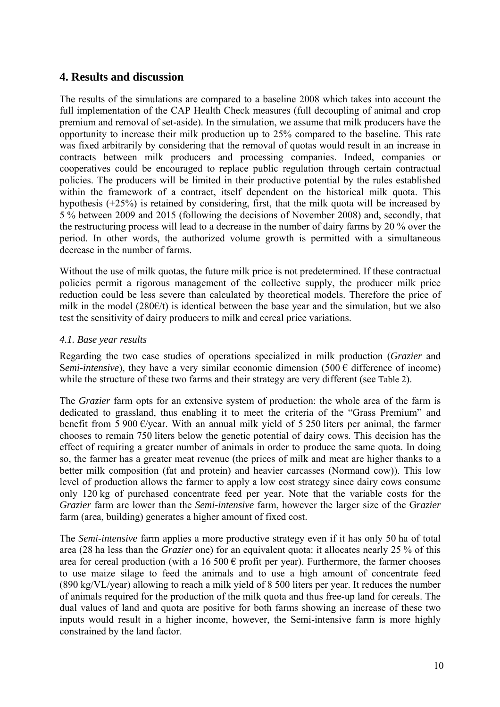# **4. Results and discussion**

The results of the simulations are compared to a baseline 2008 which takes into account the full implementation of the CAP Health Check measures (full decoupling of animal and crop premium and removal of set-aside). In the simulation, we assume that milk producers have the opportunity to increase their milk production up to 25% compared to the baseline. This rate was fixed arbitrarily by considering that the removal of quotas would result in an increase in contracts between milk producers and processing companies. Indeed, companies or cooperatives could be encouraged to replace public regulation through certain contractual policies. The producers will be limited in their productive potential by the rules established within the framework of a contract, itself dependent on the historical milk quota. This hypothesis (+25%) is retained by considering, first, that the milk quota will be increased by 5 % between 2009 and 2015 (following the decisions of November 2008) and, secondly, that the restructuring process will lead to a decrease in the number of dairy farms by 20 % over the period. In other words, the authorized volume growth is permitted with a simultaneous decrease in the number of farms.

Without the use of milk quotas, the future milk price is not predetermined. If these contractual policies permit a rigorous management of the collective supply, the producer milk price reduction could be less severe than calculated by theoretical models. Therefore the price of milk in the model (280 $\varepsilon$ /t) is identical between the base year and the simulation, but we also test the sensitivity of dairy producers to milk and cereal price variations.

### *4.1. Base year results*

Regarding the two case studies of operations specialized in milk production (*Grazier* and Semi-intensive), they have a very similar economic dimension  $(500 \in$  difference of income) while the structure of these two farms and their strategy are very different (see [Table 2](#page-9-0)).

The *Grazier* farm opts for an extensive system of production: the whole area of the farm is dedicated to grassland, thus enabling it to meet the criteria of the "Grass Premium" and benefit from 5 900  $\epsilon$ /year. With an annual milk yield of 5 250 liters per animal, the farmer chooses to remain 750 liters below the genetic potential of dairy cows. This decision has the effect of requiring a greater number of animals in order to produce the same quota. In doing so, the farmer has a greater meat revenue (the prices of milk and meat are higher thanks to a better milk composition (fat and protein) and heavier carcasses (Normand cow)). This low level of production allows the farmer to apply a low cost strategy since dairy cows consume only 120 kg of purchased concentrate feed per year. Note that the variable costs for the *Grazier* farm are lower than the *Semi-intensive* farm, however the larger size of the G*razier* farm (area, building) generates a higher amount of fixed cost.

The *Semi-intensive* farm applies a more productive strategy even if it has only 50 ha of total area (28 ha less than the *Grazier* one) for an equivalent quota: it allocates nearly 25 % of this area for cereal production (with a 16 500  $\epsilon$  profit per year). Furthermore, the farmer chooses to use maize silage to feed the animals and to use a high amount of concentrate feed (890 kg/VL/year) allowing to reach a milk yield of 8 500 liters per year. It reduces the number of animals required for the production of the milk quota and thus free-up land for cereals. The dual values of land and quota are positive for both farms showing an increase of these two inputs would result in a higher income, however, the Semi-intensive farm is more highly constrained by the land factor.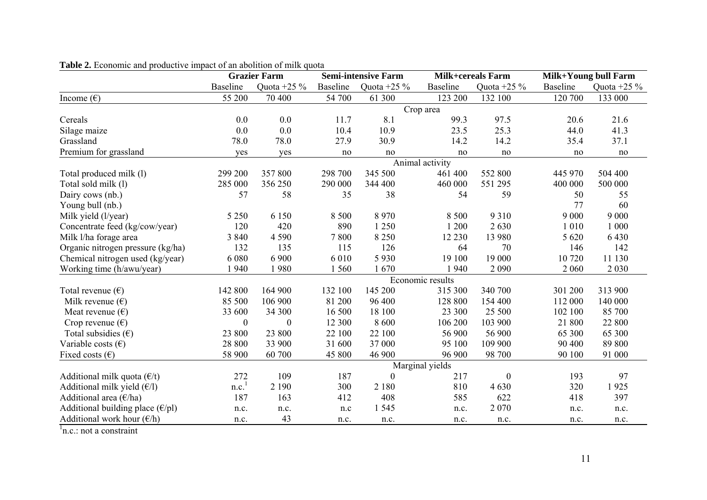|                                          |                   | <b>Grazier Farm</b> |          | <b>Semi-intensive Farm</b> |                  | <b>Milk+cereals Farm</b> |                 | Milk+Young bull Farm |
|------------------------------------------|-------------------|---------------------|----------|----------------------------|------------------|--------------------------|-----------------|----------------------|
|                                          | <b>Baseline</b>   | Quota $+25\%$       | Baseline | Quota +25 $\%$             | <b>Baseline</b>  | Quota $+25\%$            | <b>Baseline</b> | Quota $+25\%$        |
| Income $(\epsilon)$                      | 55 200            | 70 400              | 54 700   | 61 300                     | 123 200          | 132 100                  | 120 700         | 133 000              |
|                                          | Crop area         |                     |          |                            |                  |                          |                 |                      |
| Cereals                                  | 0.0               | 0.0                 | 11.7     | 8.1                        | 99.3             | 97.5                     | 20.6            | 21.6                 |
| Silage maize                             | 0.0               | 0.0                 | 10.4     | 10.9                       | 23.5             | 25.3                     | 44.0            | 41.3                 |
| Grassland                                | 78.0              | 78.0                | 27.9     | 30.9                       | 14.2             | 14.2                     | 35.4            | 37.1                 |
| Premium for grassland                    | yes               | yes                 | no       | no                         | no               | no                       | no              | no                   |
|                                          |                   |                     |          |                            | Animal activity  |                          |                 |                      |
| Total produced milk (l)                  | 299 200           | 357800              | 298 700  | 345 500                    | 461 400          | 552 800                  | 445 970         | 504 400              |
| Total sold milk (l)                      | 285 000           | 356 250             | 290 000  | 344 400                    | 460 000          | 551 295                  | 400 000         | 500 000              |
| Dairy cows (nb.)                         | 57                | 58                  | 35       | 38                         | 54               | 59                       | 50              | 55                   |
| Young bull (nb.)                         |                   |                     |          |                            |                  |                          | 77              | 60                   |
| Milk yield (l/year)                      | 5 2 5 0           | 6 1 5 0             | 8 5 0 0  | 8 9 7 0                    | 8 500            | 9 3 1 0                  | 9 0 0 0         | 9 0 0 0              |
| Concentrate feed (kg/cow/year)           | 120               | 420                 | 890      | 1 250                      | 1 200            | 2630                     | 1 0 1 0         | 1 000                |
| Milk l/ha forage area                    | 3 8 4 0           | 4 5 9 0             | 7800     | 8 2 5 0                    | 12 230           | 13 980                   | 5 6 20          | 6 4 3 0              |
| Organic nitrogen pressure (kg/ha)        | 132               | 135                 | 115      | 126                        | 64               | 70                       | 146             | 142                  |
| Chemical nitrogen used (kg/year)         | 6 0 8 0           | 6 9 0 0             | 6 0 1 0  | 5 9 3 0                    | 19 100           | 19 000                   | 10720           | 11 130               |
| Working time (h/awu/year)                | 1 940             | 1980                | 1 560    | 1670                       | 1 9 4 0          | 2 0 9 0                  | 2 0 6 0         | 2 0 3 0              |
|                                          |                   |                     |          |                            | Economic results |                          |                 |                      |
| Total revenue $(\epsilon)$               | 142 800           | 164 900             | 132 100  | 145 200                    | 315 300          | 340 700                  | 301 200         | 313 900              |
| Milk revenue $(\epsilon)$                | 85 500            | 106 900             | 81 200   | 96 400                     | 128 800          | 154 400                  | 112 000         | 140 000              |
| Meat revenue $(\epsilon)$                | 33 600            | 34 300              | 16 500   | 18 100                     | 23 300           | 25 500                   | 102 100         | 85 700               |
| Crop revenue $(\epsilon)$                | $\theta$          | $\boldsymbol{0}$    | 12 300   | 8 600                      | 106 200          | 103 900                  | 21 800          | 22 800               |
| Total subsidies $(\epsilon)$             | 23 800            | 23 800              | 22 100   | 22 100                     | 56 900           | 56 900                   | 65 300          | 65 300               |
| Variable costs $(\epsilon)$              | 28 800            | 33 900              | 31 600   | 37 000                     | 95 100           | 109 900                  | 90 400          | 89 800               |
| Fixed costs $(\epsilon)$                 | 58 900            | 60 700              | 45 800   | 46 900                     | 96 900           | 98 700                   | 90 100          | 91 000               |
|                                          | Marginal yields   |                     |          |                            |                  |                          |                 |                      |
| Additional milk quota $(\epsilon/t)$     | 272               | 109                 | 187      | $\theta$                   | 217              | $\boldsymbol{0}$         | 193             | 97                   |
| Additional milk yield $(E/I)$            | n.c. <sup>1</sup> | 2 1 9 0             | 300      | 2 1 8 0                    | 810              | 4 6 3 0                  | 320             | 1925                 |
| Additional area $(\epsilon$ /ha)         | 187               | 163                 | 412      | 408                        | 585              | 622                      | 418             | 397                  |
| Additional building place $(\epsilon/p)$ | n.c.              | n.c.                | n.c      | 1 5 4 5                    | n.c.             | 2070                     | n.c.            | n.c.                 |
| Additional work hour $(\epsilon/h)$      | n.c.              | 43                  | n.c.     | n.c.                       | n.c.             | n.c.                     | n.c.            | n.c.                 |

## **Table 2.** Economic and productive impact of an abolition of milk quota

<span id="page-9-0"></span> $\frac{1}{n}$ n.c.: not a constraint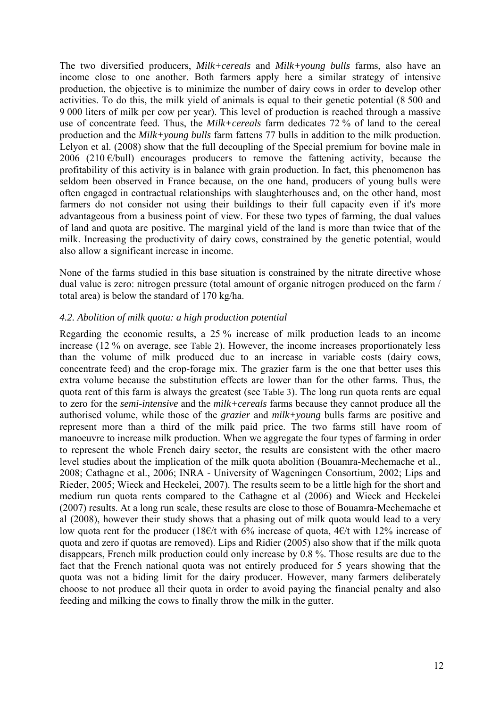The two diversified producers, *Milk+cereals* and *Milk+young bulls* farms, also have an income close to one another. Both farmers apply here a similar strategy of intensive production, the objective is to minimize the number of dairy cows in order to develop other activities. To do this, the milk yield of animals is equal to their genetic potential (8 500 and 9 000 liters of milk per cow per year). This level of production is reached through a massive use of concentrate feed. Thus, the *Milk+cereals* farm dedicates 72 % of land to the cereal production and the *Milk+young bulls* farm fattens 77 bulls in addition to the milk production. Lelyon et al. (2008) show that the full decoupling of the Special premium for bovine male in 2006 (210  $\varepsilon$ /bull) encourages producers to remove the fattening activity, because the profitability of this activity is in balance with grain production. In fact, this phenomenon has seldom been observed in France because, on the one hand, producers of young bulls were often engaged in contractual relationships with slaughterhouses and, on the other hand, most farmers do not consider not using their buildings to their full capacity even if it's more advantageous from a business point of view. For these two types of farming, the dual values of land and quota are positive. The marginal yield of the land is more than twice that of the milk. Increasing the productivity of dairy cows, constrained by the genetic potential, would also allow a significant increase in income.

None of the farms studied in this base situation is constrained by the nitrate directive whose dual value is zero: nitrogen pressure (total amount of organic nitrogen produced on the farm / total area) is below the standard of 170 kg/ha.

### *4.2. Abolition of milk quota: a high production potential*

Regarding the economic results, a 25 % increase of milk production leads to an income increase (12 % on average, see [Table 2\)](#page-9-0). However, the income increases proportionately less than the volume of milk produced due to an increase in variable costs (dairy cows, concentrate feed) and the crop-forage mix. The grazier farm is the one that better uses this extra volume because the substitution effects are lower than for the other farms. Thus, the quota rent of this farm is always the greatest (see [Table 3\)](#page-11-0). The long run quota rents are equal to zero for the *semi-intensive* and the *milk+cereals* farms because they cannot produce all the authorised volume, while those of the *grazier* and *milk+young* bulls farms are positive and represent more than a third of the milk paid price. The two farms still have room of manoeuvre to increase milk production. When we aggregate the four types of farming in order to represent the whole French dairy sector, the results are consistent with the other macro level studies about the implication of the milk quota abolition (Bouamra-Mechemache et al., 2008; Cathagne et al., 2006; INRA - University of Wageningen Consortium, 2002; Lips and Rieder, 2005; Wieck and Heckelei, 2007). The results seem to be a little high for the short and medium run quota rents compared to the Cathagne et al (2006) and Wieck and Heckelei (2007) results. At a long run scale, these results are close to those of Bouamra-Mechemache et al (2008), however their study shows that a phasing out of milk quota would lead to a very low quota rent for the producer (18€/t with 6% increase of quota, 4€/t with 12% increase of quota and zero if quotas are removed). Lips and Ridier (2005) also show that if the milk quota disappears, French milk production could only increase by 0.8 %. Those results are due to the fact that the French national quota was not entirely produced for 5 years showing that the quota was not a biding limit for the dairy producer. However, many farmers deliberately choose to not produce all their quota in order to avoid paying the financial penalty and also feeding and milking the cows to finally throw the milk in the gutter.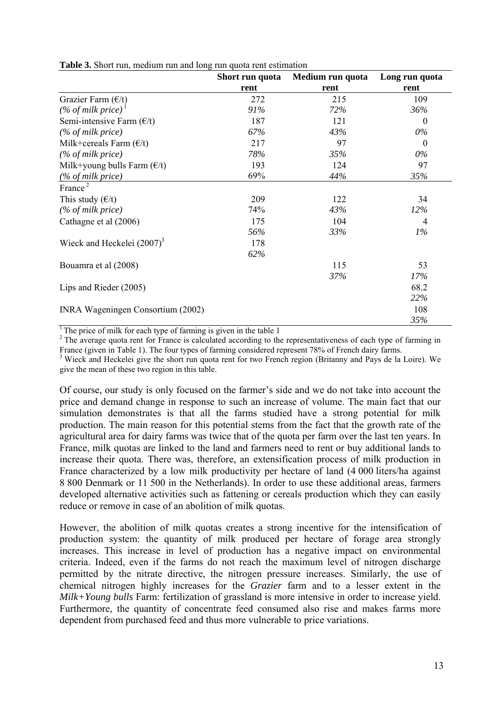|                                          | Short run quota | Medium run quota | Long run quota |
|------------------------------------------|-----------------|------------------|----------------|
|                                          | rent            | rent             | rent           |
| Grazier Farm $(\epsilon/t)$              | 272             | 215              | 109            |
| $(\%$ of milk price) <sup>1</sup>        | 91%             | 72%              | 36%            |
| Semi-intensive Farm $(\epsilon/t)$       | 187             | 121              | $\theta$       |
| $(\% of milk price)$                     | 67%             | 43%              | $0\%$          |
| Milk+cereals Farm $(\epsilon/t)$         | 217             | 97               | $\theta$       |
| $(\% of milk price)$                     | 78%             | 35%              | 0%             |
| Milk+young bulls Farm $(\epsilon/t)$     | 193             | 124              | 97             |
| $(\%$ of milk price)                     | 69%             | 44%              | 35%            |
| France <sup>2</sup>                      |                 |                  |                |
| This study $(\epsilon/t)$                | 209             | 122              | 34             |
| $(\% of milk price)$                     | 74%             | 43%              | 12%            |
| Cathagne et al (2006)                    | 175             | 104              | 4              |
|                                          | 56%             | 33%              | $1\%$          |
| Wieck and Heckelei $(2007)^3$            | 178             |                  |                |
|                                          | 62%             |                  |                |
| Bouamra et al (2008)                     |                 | 115              | 53             |
|                                          |                 | 37%              | 17%            |
| Lips and Rieder (2005)                   |                 |                  | 68.2           |
|                                          |                 |                  | 22%            |
| <b>INRA Wageningen Consortium (2002)</b> |                 |                  | 108            |
|                                          |                 |                  | 35%            |

<span id="page-11-0"></span>**Table 3.** Short run, medium run and long run quota rent estimation

 $<sup>1</sup>$  The price of milk for each type of farming is given in the table 1</sup>

<sup>2</sup> The average quota rent for France is calculated according to the representativeness of each type of farming in France (given in Table 1). The four types of farming considered represent 78% of French dairy farms.

<sup>3</sup> Wieck and Heckelei give the short run quota rent for two French region (Britanny and Pays de la Loire). We give the mean of these two region in this table.

Of course, our study is only focused on the farmer's side and we do not take into account the price and demand change in response to such an increase of volume. The main fact that our simulation demonstrates is that all the farms studied have a strong potential for milk production. The main reason for this potential stems from the fact that the growth rate of the agricultural area for dairy farms was twice that of the quota per farm over the last ten years. In France, milk quotas are linked to the land and farmers need to rent or buy additional lands to increase their quota. There was, therefore, an extensification process of milk production in France characterized by a low milk productivity per hectare of land (4 000 liters/ha against 8 800 Denmark or 11 500 in the Netherlands). In order to use these additional areas, farmers developed alternative activities such as fattening or cereals production which they can easily reduce or remove in case of an abolition of milk quotas.

However, the abolition of milk quotas creates a strong incentive for the intensification of production system: the quantity of milk produced per hectare of forage area strongly increases. This increase in level of production has a negative impact on environmental criteria. Indeed, even if the farms do not reach the maximum level of nitrogen discharge permitted by the nitrate directive, the nitrogen pressure increases. Similarly, the use of chemical nitrogen highly increases for the *Grazier* farm and to a lesser extent in the *Milk+Young bulls* Farm: fertilization of grassland is more intensive in order to increase yield. Furthermore, the quantity of concentrate feed consumed also rise and makes farms more dependent from purchased feed and thus more vulnerable to price variations.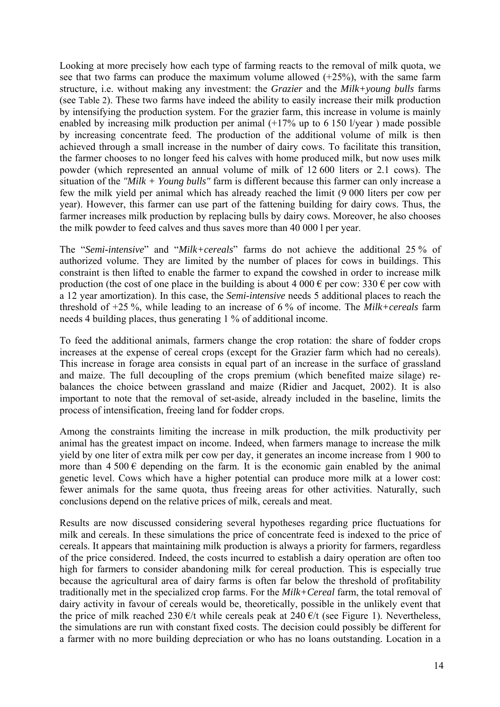Looking at more precisely how each type of farming reacts to the removal of milk quota, we see that two farms can produce the maximum volume allowed  $(+25%)$ , with the same farm structure, i.e. without making any investment: the *Grazier* and the *Milk+young bulls* farms (see [Table 2](#page-9-0)). These two farms have indeed the ability to easily increase their milk production by intensifying the production system. For the grazier farm, this increase in volume is mainly enabled by increasing milk production per animal  $(+17\%$  up to 6 150 l/year) made possible by increasing concentrate feed. The production of the additional volume of milk is then achieved through a small increase in the number of dairy cows. To facilitate this transition, the farmer chooses to no longer feed his calves with home produced milk, but now uses milk powder (which represented an annual volume of milk of 12 600 liters or 2.1 cows). The situation of the *"Milk + Young bulls"* farm is different because this farmer can only increase a few the milk yield per animal which has already reached the limit (9 000 liters per cow per year). However, this farmer can use part of the fattening building for dairy cows. Thus, the farmer increases milk production by replacing bulls by dairy cows. Moreover, he also chooses the milk powder to feed calves and thus saves more than 40 000 l per year.

The "*Semi-intensive*" and "*Milk+cereals*" farms do not achieve the additional 25 % of authorized volume. They are limited by the number of places for cows in buildings. This constraint is then lifted to enable the farmer to expand the cowshed in order to increase milk production (the cost of one place in the building is about 4 000  $\epsilon$  per cow: 330  $\epsilon$  per cow with a 12 year amortization). In this case, the *Semi-intensive* needs 5 additional places to reach the threshold of +25 %, while leading to an increase of 6 % of income. The *Milk+cereals* farm needs 4 building places, thus generating 1 % of additional income.

To feed the additional animals, farmers change the crop rotation: the share of fodder crops increases at the expense of cereal crops (except for the Grazier farm which had no cereals). This increase in forage area consists in equal part of an increase in the surface of grassland and maize. The full decoupling of the crops premium (which benefited maize silage) rebalances the choice between grassland and maize (Ridier and Jacquet, 2002). It is also important to note that the removal of set-aside, already included in the baseline, limits the process of intensification, freeing land for fodder crops.

Among the constraints limiting the increase in milk production, the milk productivity per animal has the greatest impact on income. Indeed, when farmers manage to increase the milk yield by one liter of extra milk per cow per day, it generates an income increase from 1 900 to more than  $4\,500\,\epsilon$  depending on the farm. It is the economic gain enabled by the animal genetic level. Cows which have a higher potential can produce more milk at a lower cost: fewer animals for the same quota, thus freeing areas for other activities. Naturally, such conclusions depend on the relative prices of milk, cereals and meat.

Results are now discussed considering several hypotheses regarding price fluctuations for milk and cereals. In these simulations the price of concentrate feed is indexed to the price of cereals. It appears that maintaining milk production is always a priority for farmers, regardless of the price considered. Indeed, the costs incurred to establish a dairy operation are often too high for farmers to consider abandoning milk for cereal production. This is especially true because the agricultural area of dairy farms is often far below the threshold of profitability traditionally met in the specialized crop farms. For the *Milk+Cereal* farm, the total removal of dairy activity in favour of cereals would be, theoretically, possible in the unlikely event that the price of milk reached 230  $\epsilon$ /t while cereals peak at 240  $\epsilon$ /t (see [Figure 1](#page-13-0)). Nevertheless, the simulations are run with constant fixed costs. The decision could possibly be different for a farmer with no more building depreciation or who has no loans outstanding. Location in a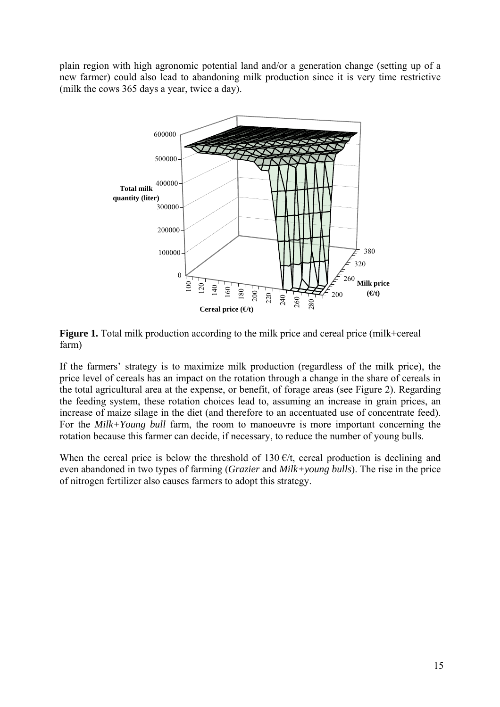plain region with high agronomic potential land and/or a generation change (setting up of a new farmer) could also lead to abandoning milk production since it is very time restrictive (milk the cows 365 days a year, twice a day).



<span id="page-13-0"></span>**Figure 1.** Total milk production according to the milk price and cereal price (milk+cereal farm)

If the farmers' strategy is to maximize milk production (regardless of the milk price), the price level of cereals has an impact on the rotation through a change in the share of cereals in the total agricultural area at the expense, or benefit, of forage areas (see [Figure 2\)](#page-14-0). Regarding the feeding system, these rotation choices lead to, assuming an increase in grain prices, an increase of maize silage in the diet (and therefore to an accentuated use of concentrate feed). For the *Milk+Young bull* farm, the room to manoeuvre is more important concerning the rotation because this farmer can decide, if necessary, to reduce the number of young bulls.

When the cereal price is below the threshold of 130  $\epsilon/t$ , cereal production is declining and even abandoned in two types of farming (*Grazier* and *Milk+young bulls*). The rise in the price of nitrogen fertilizer also causes farmers to adopt this strategy.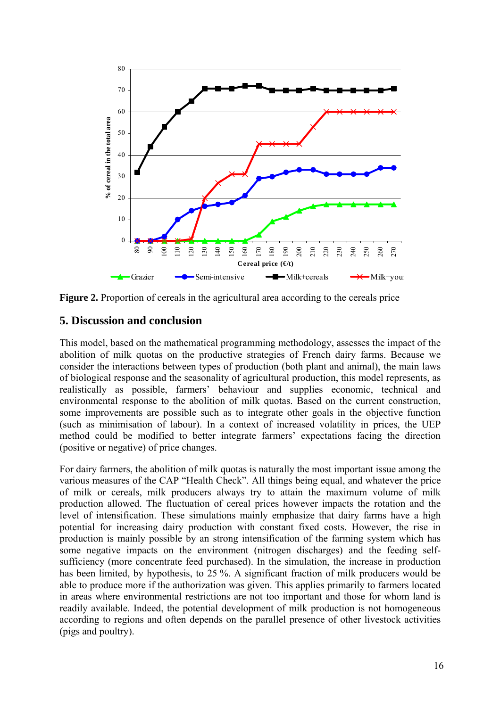

<span id="page-14-0"></span>**Figure 2.** Proportion of cereals in the agricultural area according to the cereals price

# **5. Discussion and conclusion**

This model, based on the mathematical programming methodology, assesses the impact of the abolition of milk quotas on the productive strategies of French dairy farms. Because we consider the interactions between types of production (both plant and animal), the main laws of biological response and the seasonality of agricultural production, this model represents, as realistically as possible, farmers' behaviour and supplies economic, technical and environmental response to the abolition of milk quotas. Based on the current construction, some improvements are possible such as to integrate other goals in the objective function (such as minimisation of labour). In a context of increased volatility in prices, the UEP method could be modified to better integrate farmers' expectations facing the direction (positive or negative) of price changes.

For dairy farmers, the abolition of milk quotas is naturally the most important issue among the various measures of the CAP "Health Check". All things being equal, and whatever the price of milk or cereals, milk producers always try to attain the maximum volume of milk production allowed. The fluctuation of cereal prices however impacts the rotation and the level of intensification. These simulations mainly emphasize that dairy farms have a high potential for increasing dairy production with constant fixed costs. However, the rise in production is mainly possible by an strong intensification of the farming system which has some negative impacts on the environment (nitrogen discharges) and the feeding selfsufficiency (more concentrate feed purchased). In the simulation, the increase in production has been limited, by hypothesis, to 25 %. A significant fraction of milk producers would be able to produce more if the authorization was given. This applies primarily to farmers located in areas where environmental restrictions are not too important and those for whom land is readily available. Indeed, the potential development of milk production is not homogeneous according to regions and often depends on the parallel presence of other livestock activities (pigs and poultry).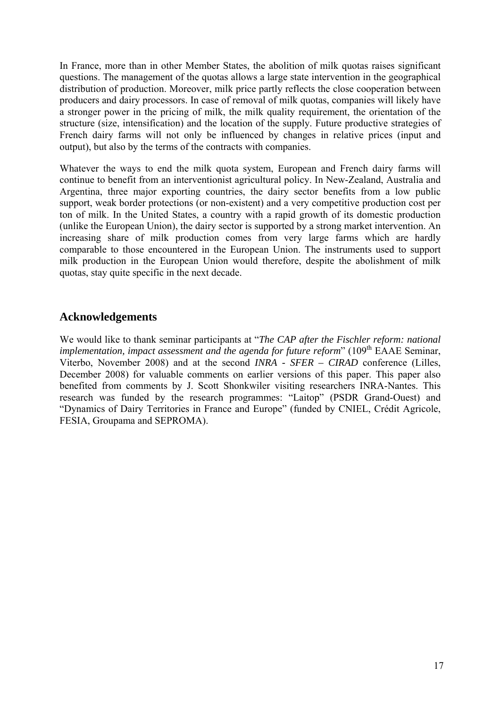In France, more than in other Member States, the abolition of milk quotas raises significant questions. The management of the quotas allows a large state intervention in the geographical distribution of production. Moreover, milk price partly reflects the close cooperation between producers and dairy processors. In case of removal of milk quotas, companies will likely have a stronger power in the pricing of milk, the milk quality requirement, the orientation of the structure (size, intensification) and the location of the supply. Future productive strategies of French dairy farms will not only be influenced by changes in relative prices (input and output), but also by the terms of the contracts with companies.

Whatever the ways to end the milk quota system, European and French dairy farms will continue to benefit from an interventionist agricultural policy. In New-Zealand, Australia and Argentina, three major exporting countries, the dairy sector benefits from a low public support, weak border protections (or non-existent) and a very competitive production cost per ton of milk. In the United States, a country with a rapid growth of its domestic production (unlike the European Union), the dairy sector is supported by a strong market intervention. An increasing share of milk production comes from very large farms which are hardly comparable to those encountered in the European Union. The instruments used to support milk production in the European Union would therefore, despite the abolishment of milk quotas, stay quite specific in the next decade.

# **Acknowledgements**

We would like to thank seminar participants at "*The CAP after the Fischler reform: national implementation, impact assessment and the agenda for future reform*" (109<sup>th</sup> EAAE Seminar, Viterbo, November 2008) and at the second *INRA - SFER – CIRAD* conference (Lilles, December 2008) for valuable comments on earlier versions of this paper. This paper also benefited from comments by J. Scott Shonkwiler visiting researchers INRA-Nantes. This research was funded by the research programmes: "Laitop" (PSDR Grand-Ouest) and "Dynamics of Dairy Territories in France and Europe" (funded by CNIEL, Crédit Agricole, FESIA, Groupama and SEPROMA).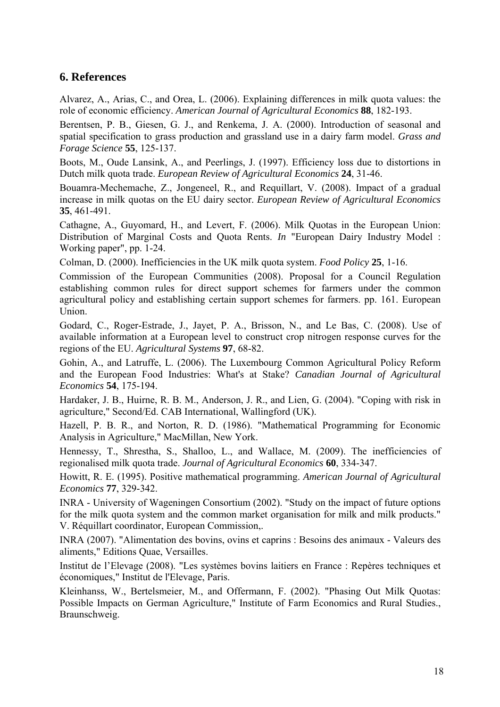# **6. References**

Alvarez, A., Arias, C., and Orea, L. (2006). Explaining differences in milk quota values: the role of economic efficiency. *American Journal of Agricultural Economics* **88**, 182-193.

Berentsen, P. B., Giesen, G. J., and Renkema, J. A. (2000). Introduction of seasonal and spatial specification to grass production and grassland use in a dairy farm model. *Grass and Forage Science* **55**, 125-137.

Boots, M., Oude Lansink, A., and Peerlings, J. (1997). Efficiency loss due to distortions in Dutch milk quota trade. *European Review of Agricultural Economics* **24**, 31-46.

Bouamra-Mechemache, Z., Jongeneel, R., and Requillart, V. (2008). Impact of a gradual increase in milk quotas on the EU dairy sector. *European Review of Agricultural Economics* **35**, 461-491.

Cathagne, A., Guyomard, H., and Levert, F. (2006). Milk Quotas in the European Union: Distribution of Marginal Costs and Quota Rents. *In* "European Dairy Industry Model : Working paper", pp. 1-24.

Colman, D. (2000). Inefficiencies in the UK milk quota system. *Food Policy* **25**, 1-16.

Commission of the European Communities (2008). Proposal for a Council Regulation establishing common rules for direct support schemes for farmers under the common agricultural policy and establishing certain support schemes for farmers. pp. 161. European Union.

Godard, C., Roger-Estrade, J., Jayet, P. A., Brisson, N., and Le Bas, C. (2008). Use of available information at a European level to construct crop nitrogen response curves for the regions of the EU. *Agricultural Systems* **97**, 68-82.

Gohin, A., and Latruffe, L. (2006). The Luxembourg Common Agricultural Policy Reform and the European Food Industries: What's at Stake? *Canadian Journal of Agricultural Economics* **54**, 175-194.

Hardaker, J. B., Huirne, R. B. M., Anderson, J. R., and Lien, G. (2004). "Coping with risk in agriculture," Second/Ed. CAB International, Wallingford (UK).

Hazell, P. B. R., and Norton, R. D. (1986). "Mathematical Programming for Economic Analysis in Agriculture," MacMillan, New York.

Hennessy, T., Shrestha, S., Shalloo, L., and Wallace, M. (2009). The inefficiencies of regionalised milk quota trade. *Journal of Agricultural Economics* **60**, 334-347.

Howitt, R. E. (1995). Positive mathematical programming. *American Journal of Agricultural Economics* **77**, 329-342.

INRA - University of Wageningen Consortium (2002). "Study on the impact of future options for the milk quota system and the common market organisation for milk and milk products." V. Réquillart coordinator, European Commission,.

INRA (2007). "Alimentation des bovins, ovins et caprins : Besoins des animaux - Valeurs des aliments," Editions Quae, Versailles.

Institut de l'Elevage (2008). "Les systèmes bovins laitiers en France : Repères techniques et économiques," Institut de l'Elevage, Paris.

Kleinhanss, W., Bertelsmeier, M., and Offermann, F. (2002). "Phasing Out Milk Quotas: Possible Impacts on German Agriculture," Institute of Farm Economics and Rural Studies., Braunschweig.